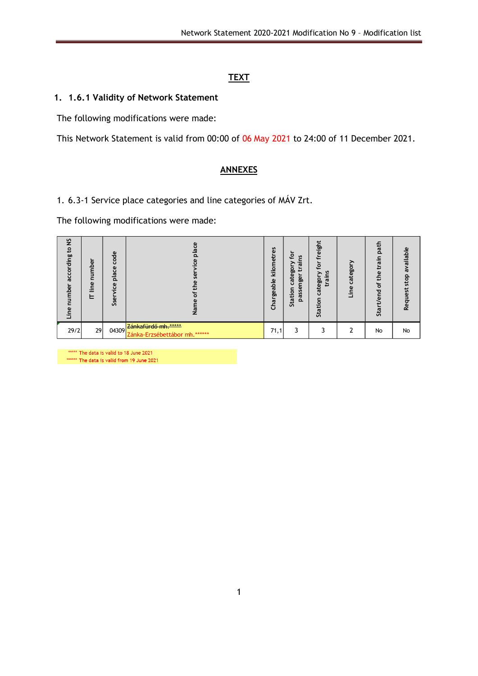## **TEXT**

## **1. 1.6.1 Validity of Network Statement**

The following modifications were made:

This Network Statement is valid from 00:00 of 06 May 2021 to 24:00 of 11 December 2021.

## **ANNEXES**

1. 6.3-1 Service place categories and line categories of MÁV Zrt.

The following modifications were made:

| 5s<br>$\circ$<br>ccording<br>ō<br>$\overline{a}$<br>ō<br>E<br>Φ |    | ᢞ<br>٥<br>Ū<br>Φ<br>Ū<br>۲Ū<br>$\Omega$<br>Φ<br>Ū<br>Φ<br>Ü<br>Ü | a                                                    | 6<br>恴<br>흥<br>rgeable<br><b>Chai</b> | 으<br>i<br><b>rd</b><br>Ο<br>ōη<br>ይ<br>ngel<br>ē<br>ω<br>⊆<br>S<br>Station<br>pas | eight<br>⊊<br>ō<br>n<br>۔۔<br>စ္ပြ<br>စွာ<br>œ<br>$\mathbf{H}$<br>g<br>taiior<br>û | ategor<br>Ü<br>eqi. | ಕ<br>Ó<br>٠Ē<br><b>Q</b><br>o<br>$\circ$<br>o<br>ಜ | ω<br>ailabl<br>۰<br>s<br>3<br>Req |
|-----------------------------------------------------------------|----|------------------------------------------------------------------|------------------------------------------------------|---------------------------------------|-----------------------------------------------------------------------------------|------------------------------------------------------------------------------------|---------------------|----------------------------------------------------|-----------------------------------|
| 29/2                                                            | 29 | 04309                                                            | Zánkafürdő mh.*****<br>Zánka-Erzsébettábor mh.****** | 71,1                                  |                                                                                   |                                                                                    |                     | No                                                 | No                                |

\*\*\*\*\* The data is valid to 18 June 2021 \*\*\*\*\*\* The data is valid from 19 June 2021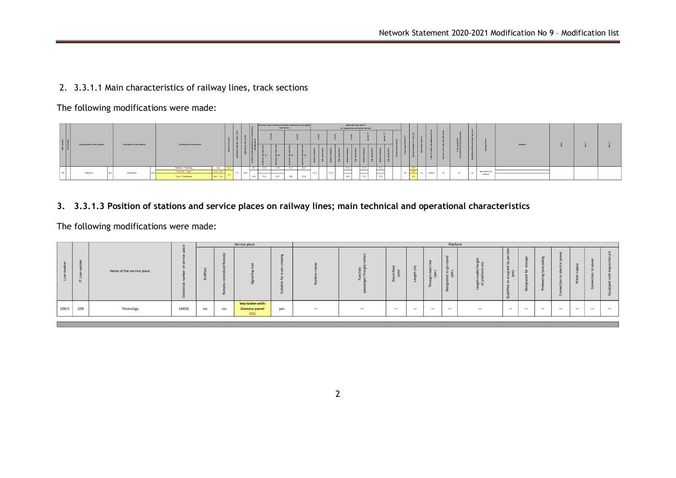## 2. 3.3.1.1 Main characteristics of railway lines, track sections

The following modifications were made:

|                           |                                  |  |                               |  |                                           |                        |  |     |    | Ade load range containing subdued conditions of overweight<br>locomotives |      |      |      | Applicable axle load (t)<br>for locomotives and hauled vehicles |      |  |              |  |      |           |  |           |            |         |     |                   |                 |         |  |  |
|---------------------------|----------------------------------|--|-------------------------------|--|-------------------------------------------|------------------------|--|-----|----|---------------------------------------------------------------------------|------|------|------|-----------------------------------------------------------------|------|--|--------------|--|------|-----------|--|-----------|------------|---------|-----|-------------------|-----------------|---------|--|--|
| Main number<br>Sub-number |                                  |  |                               |  |                                           |                        |  |     |    |                                                                           |      |      |      |                                                                 |      |  |              |  |      |           |  |           |            |         |     |                   |                 |         |  |  |
|                           | Starting point of line (station) |  | Final point of line (station) |  | Dividing line into sections               |                        |  |     |    |                                                                           |      |      |      |                                                                 |      |  |              |  |      |           |  |           |            |         |     |                   |                 | Remarks |  |  |
|                           |                                  |  |                               |  | Debrecen - Tovovolgy<br>Tocovolgy - Egyek | incl.<br>incl. - eacl. |  |     | D3 | 21.6                                                                      | 22.5 | 21.6 | 22.5 |                                                                 |      |  | 21.0         |  | 21,0 | 21,0      |  | --<br>600 |            |         |     |                   | Nationvide Core |         |  |  |
| 108                       | Debrecen                         |  | Füresabony                    |  | Egyek - Füzesabony                        | $ext - ex$             |  | CM3 |    | 22,5<br>21,6                                                              |      | 18,5 | 19,8 | 21,0                                                            | 21.0 |  | ____<br>18.0 |  | 17.0 | _<br>17.0 |  | 80        | <b>THE</b> | station | nn. | <b>CONTRACTOR</b> | network         |         |  |  |

**3. 3.3.1.3 Position of stations and service places on railway lines; main technical and operational characteristics**

The following modifications were made:

|       |     |                           |           |                   |    | Service place                                 |     |                          |                          |                                       |                                        |                                             | Platform                                                     |                          |                            |                          |                          |                          |                          |                             |                          |
|-------|-----|---------------------------|-----------|-------------------|----|-----------------------------------------------|-----|--------------------------|--------------------------|---------------------------------------|----------------------------------------|---------------------------------------------|--------------------------------------------------------------|--------------------------|----------------------------|--------------------------|--------------------------|--------------------------|--------------------------|-----------------------------|--------------------------|
|       | ╘   | Name of the service place | <b>in</b> | - 35<br><u>in</u> |    |                                               |     |                          |                          | $\overline{z}$<br>휴<br>↩<br><b>II</b> | $\overline{\phantom{0}}$<br>$\tilde{}$ | $\overline{\phantom{0}}$<br>sh mai<br>(yes) | $\overline{\phantom{a}}$<br>no.<br>ed to<br>(yes)<br>$\circ$ | 하<br>ະ<br>호 호<br>듦 은     | ccupi<br>(yes)<br>$\sigma$ | õ                        |                          |                          |                          | $\Omega$<br>≖<br>$\sqrt{2}$ |                          |
| 109/1 | 109 | Tócóvölgy                 | 14456     | no                | no | key locker with<br>Domino panel<br><b>D55</b> | yes | $\overline{\phantom{a}}$ | $\overline{\phantom{a}}$ | $\overline{\phantom{0}}$              | $\overline{\phantom{0}}$               | $\sim$                                      | $\overline{\phantom{a}}$                                     | $\overline{\phantom{0}}$ | $\overline{\phantom{0}}$   | $\overline{\phantom{a}}$ | $\overline{\phantom{0}}$ | $\overline{\phantom{a}}$ | $\overline{\phantom{0}}$ | $\overline{\phantom{0}}$    | $\overline{\phantom{0}}$ |
|       |     |                           |           |                   |    |                                               |     |                          |                          |                                       |                                        |                                             |                                                              |                          |                            |                          |                          |                          |                          |                             |                          |